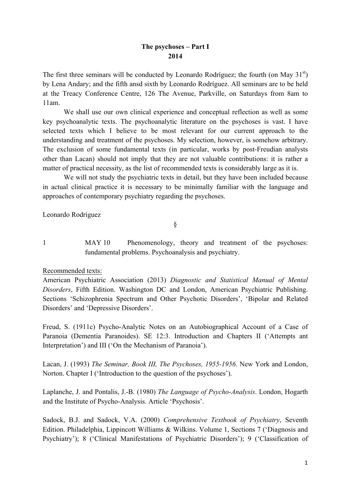## **The psychoses – Part I 2014**

The first three seminars will be conducted by Leonardo Rodríguez; the fourth (on May  $31<sup>st</sup>$ ) by Lena Andary; and the fifth ansd sixth by Leonardo Rodríguez. All seminars are to be held at the Treacy Conference Centre, 126 The Avenue, Parkville, on Saturdays from 8am to 11am.

We shall use our own clinical experience and conceptual reflection as well as some key psychoanalytic texts. The psychoanalytic literature on the psychoses is vast. I have selected texts which I believe to be most relevant for our current approach to the understanding and treatment of the psychoses. My selection, however, is somehow arbitrary. The exclusion of some fundamental texts (in particular, works by post-Freudian analysts other than Lacan) should not imply that they are not valuable contributions: it is rather a matter of practical necessity, as the list of recommended texts is considerably large as it is.

We will not study the psychiatric texts in detail, but they have been included because in actual clinical practice it is necessary to be minimally familiar with the language and approaches of contemporary psychiatry regarding the psychoses.

Leonardo Rodríguez

§

1 MAY 10 Phenomenology, theory and treatment of the psychoses: fundamental problems. Psychoanalysis and psychiatry.

## Recommended texts:

American Psychiatric Association (2013) *Diagnostic and Statistical Manual of Mental Disorders*, Fifth Edition. Washington DC and London, American Psychiatric Publishing. Sections 'Schizophrenia Spectrum and Other Psychotic Disorders', 'Bipolar and Related Disorders' and 'Depressive Disorders'.

Freud, S. (1911c) Psycho-Analytic Notes on an Autobiographical Account of a Case of Paranoia (Dementia Paranoides). SE 12:3. Introduction and Chapters II ('Attempts ant Interpretation') and III ('On the Mechanism of Paranoia').

Lacan, J. (1993) *The Seminar, Book III, The Psychoses, 1955-1956*. New York and London, Norton. Chapter I ('Introduction to the question of the psychoses').

Laplanche, J. and Pontalis, J.-B. (1980) *The Language of Psycho-Analysis*. London, Hogarth and the Institute of Psycho-Analysis. Article 'Psychosis'.

Sadock, B.J. and Sadock, V.A. (2000) *Comprehensive Textbook of Psychiatry*, Seventh Edition. Philadelphia, Lippincott Williams & Wilkins. Volume 1, Sections 7 ('Diagnosis and Psychiatry'); 8 ('Clinical Manifestations of Psychiatric Disorders'); 9 ('Classification of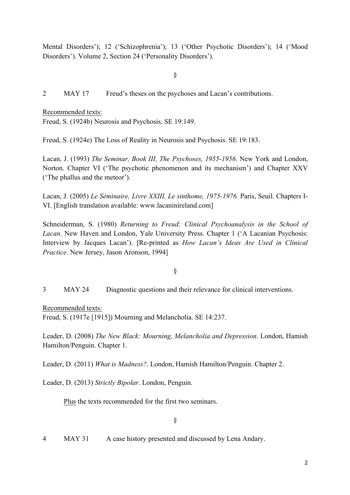Mental Disorders'); 12 ('Schizophrenia'); 13 ('Other Psychotic Disorders'); 14 ('Mood Disorders'). Volume 2, Section 24 ('Personality Disorders').

§

2 MAY 17 Freud's theses on the psychoses and Lacan's contributions.

Recommended texts: Freud, S. (1924b) Neurosis and Psychosis. SE 19:149.

Freud, S. (1924e) The Loss of Reality in Neurosis and Psychosis. SE 19:183.

Lacan, J. (1993) *The Seminar, Book III, The Psychoses, 1955-1956*. New York and London, Norton. Chapter VI ('The psychotic phenomenon and its mechanism') and Chapter XXV ('The phallus and the meteor').

Lacan, J. (2005) *Le Séminaire, Livre XXIII, Le sinthome, 1975-1976.* Paris, Seuil. Chapters I-VI. [English translation available: www.lacaninireland.com]

Schneiderman, S. (1980) *Returning to Freud: Clinical Psychoanalysis in the School of Lacan*. New Haven and London, Yale University Press. Chapter 1 ('A Lacanian Psychosis: Interview by Jacques Lacan'). [Re-printed as *How Lacan's Ideas Are Used in Clinical Practice*. New Jersey, Jason Aronson, 1994]

# §

3 MAY 24 Diagnostic questions and their relevance for clinical interventions.

Recommended texts: Freud, S. (1917e [1915]) Mourning and Melancholia. SE 14:237.

Leader, D. (2008) *The New Black: Mourning, Melancholia and Depression*. London, Hamish Hamilton/Penguin. Chapter 1.

Leader, D. (2011) *What is Madness?*. London, Hamish Hamilton/Penguin. Chapter 2.

Leader, D. (2013) *Strictly Bipolar*. London, Penguin.

Plus the texts recommended for the first two seminars.

4 MAY 31 A case history presented and discussed by Lena Andary.